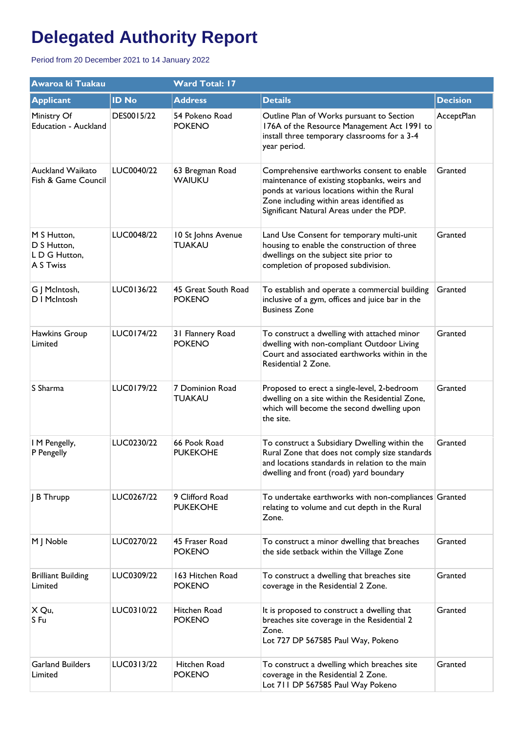| Awaroa ki Tuakau                                        |              | <b>Ward Total: 17</b>                |                                                                                                                                                                                                                                    |                 |  |
|---------------------------------------------------------|--------------|--------------------------------------|------------------------------------------------------------------------------------------------------------------------------------------------------------------------------------------------------------------------------------|-----------------|--|
| <b>Applicant</b>                                        | <b>ID No</b> | <b>Address</b>                       | <b>Details</b>                                                                                                                                                                                                                     | <b>Decision</b> |  |
| Ministry Of<br>Education - Auckland                     | DES0015/22   | 54 Pokeno Road<br><b>POKENO</b>      | Outline Plan of Works pursuant to Section<br>176A of the Resource Management Act 1991 to<br>install three temporary classrooms for a 3-4<br>year period.                                                                           | AcceptPlan      |  |
| Auckland Waikato<br>Fish & Game Council                 | LUC0040/22   | 63 Bregman Road<br><b>WAIUKU</b>     | Comprehensive earthworks consent to enable<br>maintenance of existing stopbanks, weirs and<br>ponds at various locations within the Rural<br>Zone including within areas identified as<br>Significant Natural Areas under the PDP. | Granted         |  |
| M S Hutton,<br>D S Hutton,<br>LD G Hutton,<br>A S Twiss | LUC0048/22   | 10 St Johns Avenue<br><b>TUAKAU</b>  | Land Use Consent for temporary multi-unit<br>housing to enable the construction of three<br>dwellings on the subject site prior to<br>completion of proposed subdivision.                                                          | Granted         |  |
| G J McIntosh,<br>D I McIntosh                           | LUC0136/22   | 45 Great South Road<br><b>POKENO</b> | To establish and operate a commercial building<br>inclusive of a gym, offices and juice bar in the<br><b>Business Zone</b>                                                                                                         | Granted         |  |
| Hawkins Group<br>Limited                                | LUC0174/22   | 31 Flannery Road<br><b>POKENO</b>    | To construct a dwelling with attached minor<br>dwelling with non-compliant Outdoor Living<br>Court and associated earthworks within in the<br>Residential 2 Zone.                                                                  | Granted         |  |
| S Sharma                                                | LUC0179/22   | 7 Dominion Road<br><b>TUAKAU</b>     | Proposed to erect a single-level, 2-bedroom<br>dwelling on a site within the Residential Zone,<br>which will become the second dwelling upon<br>the site.                                                                          | Granted         |  |
| I M Pengelly,<br>P Pengelly                             | LUC0230/22   | 66 Pook Road<br><b>PUKEKOHE</b>      | To construct a Subsidiary Dwelling within the<br>Rural Zone that does not comply size standards<br>and locations standards in relation to the main<br>dwelling and front (road) yard boundary                                      | Granted         |  |
| B Thrupp                                                | LUC0267/22   | 9 Clifford Road<br><b>PUKEKOHE</b>   | To undertake earthworks with non-compliances Granted<br>relating to volume and cut depth in the Rural<br>Zone.                                                                                                                     |                 |  |
| M J Noble                                               | LUC0270/22   | 45 Fraser Road<br><b>POKENO</b>      | To construct a minor dwelling that breaches<br>the side setback within the Village Zone                                                                                                                                            | Granted         |  |
| <b>Brilliant Building</b><br>Limited                    | LUC0309/22   | 163 Hitchen Road<br><b>POKENO</b>    | To construct a dwelling that breaches site<br>coverage in the Residential 2 Zone.                                                                                                                                                  | Granted         |  |
| X Qu,<br>S Fu                                           | LUC0310/22   | Hitchen Road<br><b>POKENO</b>        | It is proposed to construct a dwelling that<br>breaches site coverage in the Residential 2<br>Zone.<br>Lot 727 DP 567585 Paul Way, Pokeno                                                                                          | Granted         |  |
| <b>Garland Builders</b><br>Limited                      | LUC0313/22   | Hitchen Road<br><b>POKENO</b>        | To construct a dwelling which breaches site<br>coverage in the Residential 2 Zone.<br>Lot 711 DP 567585 Paul Way Pokeno                                                                                                            | Granted         |  |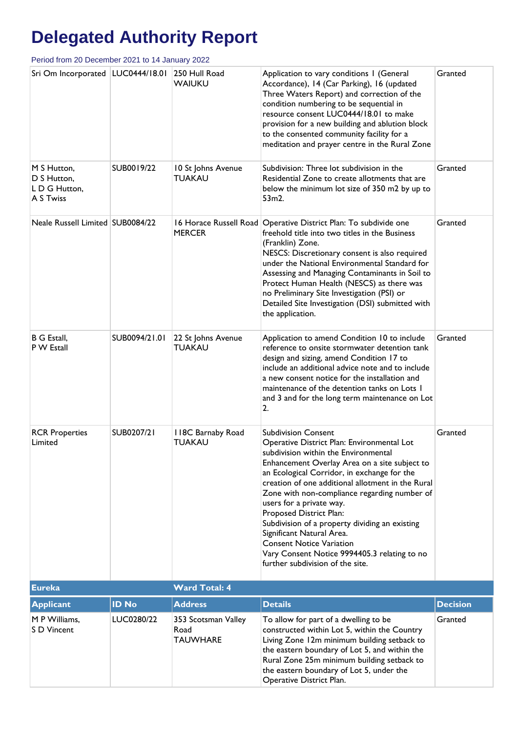| Sri Om Incorporated   LUC0444/18.01                      |               | 250 Hull Road<br><b>WAIUKU</b>                 | Application to vary conditions I (General<br>Accordance), 14 (Car Parking), 16 (updated<br>Three Waters Report) and correction of the<br>condition numbering to be sequential in<br>resource consent LUC0444/18.01 to make<br>provision for a new building and ablution block<br>to the consented community facility for a<br>meditation and prayer centre in the Rural Zone                                                                                                                                                                                                       | Granted         |
|----------------------------------------------------------|---------------|------------------------------------------------|------------------------------------------------------------------------------------------------------------------------------------------------------------------------------------------------------------------------------------------------------------------------------------------------------------------------------------------------------------------------------------------------------------------------------------------------------------------------------------------------------------------------------------------------------------------------------------|-----------------|
| M S Hutton,<br>D S Hutton,<br>L D G Hutton,<br>A S Twiss | SUB0019/22    | 10 St Johns Avenue<br><b>TUAKAU</b>            | Subdivision: Three lot subdivision in the<br>Residential Zone to create allotments that are<br>below the minimum lot size of 350 m2 by up to<br>53m2.                                                                                                                                                                                                                                                                                                                                                                                                                              | Granted         |
| Neale Russell Limited SUB0084/22                         |               | <b>MERCER</b>                                  | 16 Horace Russell Road Operative District Plan: To subdivide one<br>freehold title into two titles in the Business<br>(Franklin) Zone.<br>NESCS: Discretionary consent is also required<br>under the National Environmental Standard for<br>Assessing and Managing Contaminants in Soil to<br>Protect Human Health (NESCS) as there was<br>no Preliminary Site Investigation (PSI) or<br>Detailed Site Investigation (DSI) submitted with<br>the application.                                                                                                                      | Granted         |
| <b>B</b> G Estall,<br>P W Estall                         | SUB0094/21.01 | 22 St Johns Avenue<br><b>TUAKAU</b>            | Application to amend Condition 10 to include<br>reference to onsite stormwater detention tank<br>design and sizing, amend Condition 17 to<br>include an additional advice note and to include<br>a new consent notice for the installation and<br>maintenance of the detention tanks on Lots 1<br>and 3 and for the long term maintenance on Lot<br>2.                                                                                                                                                                                                                             | Granted         |
| <b>RCR Properties</b><br>Limited                         | SUB0207/21    | 118C Barnaby Road<br><b>TUAKAU</b>             | <b>Subdivision Consent</b><br>Operative District Plan: Environmental Lot<br>subdivision within the Environmental<br>Enhancement Overlay Area on a site subject to<br>an Ecological Corridor, in exchange for the<br>creation of one additional allotment in the Rural<br>Zone with non-compliance regarding number of<br>users for a private way.<br>Proposed District Plan:<br>Subdivision of a property dividing an existing<br>Significant Natural Area.<br><b>Consent Notice Variation</b><br>Vary Consent Notice 9994405.3 relating to no<br>further subdivision of the site. | Granted         |
| <b>Eureka</b>                                            |               | <b>Ward Total: 4</b>                           |                                                                                                                                                                                                                                                                                                                                                                                                                                                                                                                                                                                    |                 |
| <b>Applicant</b>                                         | <b>ID No</b>  | <b>Address</b>                                 | <b>Details</b>                                                                                                                                                                                                                                                                                                                                                                                                                                                                                                                                                                     | <b>Decision</b> |
| M P Williams,<br>S D Vincent                             | LUC0280/22    | 353 Scotsman Valley<br>Road<br><b>TAUWHARE</b> | To allow for part of a dwelling to be<br>constructed within Lot 5, within the Country<br>Living Zone 12m minimum building setback to<br>the eastern boundary of Lot 5, and within the<br>Rural Zone 25m minimum building setback to<br>the eastern boundary of Lot 5, under the<br>Operative District Plan.                                                                                                                                                                                                                                                                        | Granted         |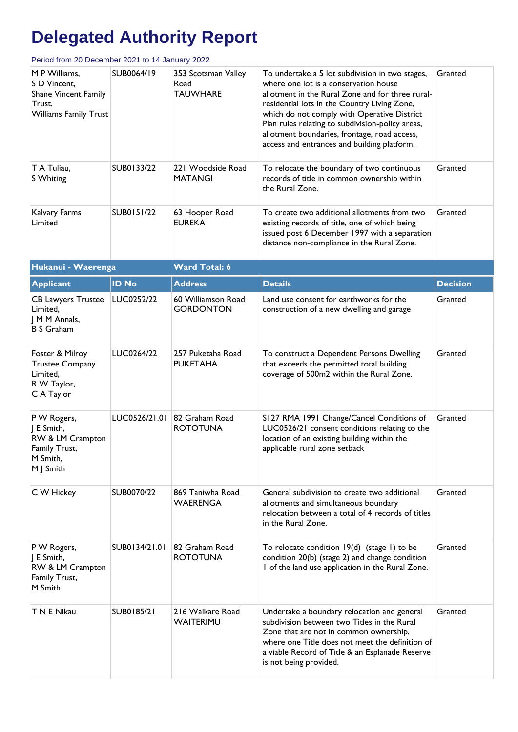| M P Williams,<br>S D Vincent,<br><b>Shane Vincent Family</b><br>Trust,<br><b>Williams Family Trust</b> | SUB0064/19    | 353 Scotsman Valley<br>Road<br><b>TAUWHARE</b>  | To undertake a 5 lot subdivision in two stages,<br>where one lot is a conservation house<br>allotment in the Rural Zone and for three rural-<br>residential lots in the Country Living Zone,<br>which do not comply with Operative District<br>Plan rules relating to subdivision-policy areas,<br>allotment boundaries, frontage, road access,<br>access and entrances and building platform. | Granted         |
|--------------------------------------------------------------------------------------------------------|---------------|-------------------------------------------------|------------------------------------------------------------------------------------------------------------------------------------------------------------------------------------------------------------------------------------------------------------------------------------------------------------------------------------------------------------------------------------------------|-----------------|
| T A Tuliau,<br>S Whiting                                                                               | SUB0133/22    | 221 Woodside Road<br><b>MATANGI</b>             | To relocate the boundary of two continuous<br>records of title in common ownership within<br>the Rural Zone.                                                                                                                                                                                                                                                                                   | Granted         |
| Kalvary Farms<br>Limited                                                                               | SUB0151/22    | 63 Hooper Road<br><b>EUREKA</b>                 | To create two additional allotments from two<br>existing records of title, one of which being<br>issued post 6 December 1997 with a separation<br>distance non-compliance in the Rural Zone.                                                                                                                                                                                                   | Granted         |
| Hukanui - Waerenga                                                                                     |               | <b>Ward Total: 6</b>                            |                                                                                                                                                                                                                                                                                                                                                                                                |                 |
| <b>Applicant</b>                                                                                       | <b>ID No</b>  | <b>Address</b>                                  | <b>Details</b>                                                                                                                                                                                                                                                                                                                                                                                 | <b>Decision</b> |
| <b>CB Lawyers Trustee</b><br>Limited,<br>  M M Annals,<br><b>B S Graham</b>                            | LUC0252/22    | 60 Williamson Road<br><b>GORDONTON</b>          | Land use consent for earthworks for the<br>construction of a new dwelling and garage                                                                                                                                                                                                                                                                                                           | Granted         |
| Foster & Milroy<br><b>Trustee Company</b><br>Limited,<br>R W Taylor,<br>C A Taylor                     | LUC0264/22    | 257 Puketaha Road<br><b>PUKETAHA</b>            | To construct a Dependent Persons Dwelling<br>that exceeds the permitted total building<br>coverage of 500m2 within the Rural Zone.                                                                                                                                                                                                                                                             | Granted         |
| P W Rogers,<br>J E Smith,<br>RW & LM Crampton<br>Family Trust,<br>M Smith,<br>M J Smith                |               | LUC0526/21.01 82 Graham Road<br><b>ROTOTUNA</b> | S127 RMA 1991 Change/Cancel Conditions of<br>LUC0526/21 consent conditions relating to the<br>location of an existing building within the<br>applicable rural zone setback                                                                                                                                                                                                                     | Granted         |
| C W Hickey                                                                                             | SUB0070/22    | 869 Taniwha Road<br><b>WAERENGA</b>             | General subdivision to create two additional<br>allotments and simultaneous boundary<br>relocation between a total of 4 records of titles<br>in the Rural Zone.                                                                                                                                                                                                                                | Granted         |
| P W Rogers,<br>J E Smith,<br>RW & LM Crampton<br>Family Trust,<br>M Smith                              | SUB0134/21.01 | 82 Graham Road<br><b>ROTOTUNA</b>               | To relocate condition $19(d)$ (stage I) to be<br>condition 20(b) (stage 2) and change condition<br>I of the land use application in the Rural Zone.                                                                                                                                                                                                                                            | Granted         |
| T N E Nikau                                                                                            | SUB0185/21    | 216 Waikare Road<br>WAITERIMU                   | Undertake a boundary relocation and general<br>subdivision between two Titles in the Rural<br>Zone that are not in common ownership,<br>where one Title does not meet the definition of<br>a viable Record of Title & an Esplanade Reserve<br>is not being provided.                                                                                                                           | Granted         |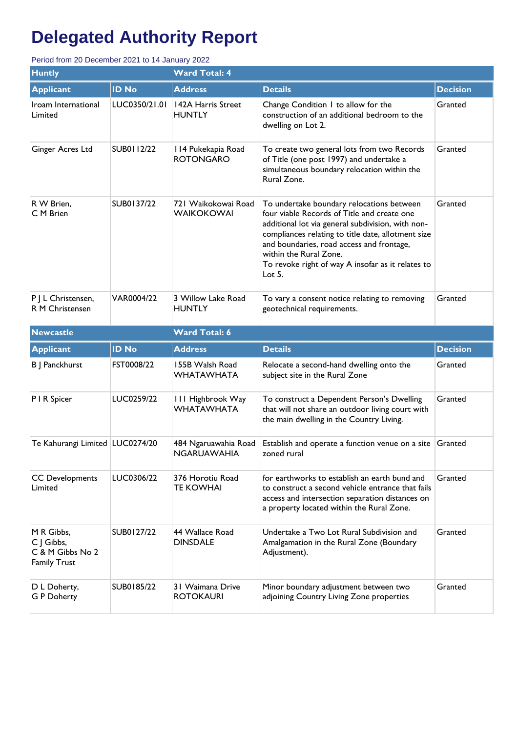| <b>Huntly</b><br><b>Ward Total: 4</b>                               |               |                                               |                                                                                                                                                                                                                                                                                                                                             |                 |  |  |
|---------------------------------------------------------------------|---------------|-----------------------------------------------|---------------------------------------------------------------------------------------------------------------------------------------------------------------------------------------------------------------------------------------------------------------------------------------------------------------------------------------------|-----------------|--|--|
| <b>Applicant</b>                                                    | <b>ID No</b>  | <b>Address</b>                                | <b>Details</b>                                                                                                                                                                                                                                                                                                                              | <b>Decision</b> |  |  |
| Iroam International<br>Limited                                      | LUC0350/21.01 | 142A Harris Street<br><b>HUNTLY</b>           | Change Condition 1 to allow for the<br>construction of an additional bedroom to the<br>dwelling on Lot 2.                                                                                                                                                                                                                                   | Granted         |  |  |
| Ginger Acres Ltd                                                    | SUB0112/22    | 114 Pukekapia Road<br><b>ROTONGARO</b>        | To create two general lots from two Records<br>of Title (one post 1997) and undertake a<br>simultaneous boundary relocation within the<br>Rural Zone.                                                                                                                                                                                       | Granted         |  |  |
| R W Brien,<br>C M Brien                                             | SUB0137/22    | 721 Waikokowai Road<br><b>WAIKOKOWAI</b>      | To undertake boundary relocations between<br>four viable Records of Title and create one<br>additional lot via general subdivision, with non-<br>compliances relating to title date, allotment size<br>and boundaries, road access and frontage,<br>within the Rural Zone.<br>To revoke right of way A insofar as it relates to<br>Lot $5.$ | Granted         |  |  |
| P J L Christensen,<br>R M Christensen                               | VAR0004/22    | 3 Willow Lake Road<br><b>HUNTLY</b>           | To vary a consent notice relating to removing<br>geotechnical requirements.                                                                                                                                                                                                                                                                 | Granted         |  |  |
| <b>Newcastle</b>                                                    |               | <b>Ward Total: 6</b>                          |                                                                                                                                                                                                                                                                                                                                             |                 |  |  |
|                                                                     |               |                                               |                                                                                                                                                                                                                                                                                                                                             |                 |  |  |
| <b>Applicant</b>                                                    | <b>ID No</b>  | <b>Address</b>                                | <b>Details</b>                                                                                                                                                                                                                                                                                                                              | <b>Decision</b> |  |  |
| B J Panckhurst                                                      | FST0008/22    | 155B Walsh Road<br><b>WHATAWHATA</b>          | Relocate a second-hand dwelling onto the<br>subject site in the Rural Zone                                                                                                                                                                                                                                                                  | Granted         |  |  |
| P I R Spicer                                                        | LUC0259/22    | <b>III Highbrook Way</b><br><b>WHATAWHATA</b> | To construct a Dependent Person's Dwelling<br>that will not share an outdoor living court with<br>the main dwelling in the Country Living.                                                                                                                                                                                                  | Granted         |  |  |
| Te Kahurangi Limited   LUC0274/20                                   |               | 484 Ngaruawahia Road<br>NGARUAWAHIA           | Establish and operate a function venue on a site $ G$ ranted<br>zoned rural                                                                                                                                                                                                                                                                 |                 |  |  |
| <b>CC Developments</b><br>Limited                                   | LUC0306/22    | 376 Horotiu Road<br><b>TE KOWHAI</b>          | for earthworks to establish an earth bund and<br>to construct a second vehicle entrance that fails<br>access and intersection separation distances on<br>a property located within the Rural Zone.                                                                                                                                          | Granted         |  |  |
| M R Gibbs,<br>C J Gibbs,<br>C & M Gibbs No 2<br><b>Family Trust</b> | SUB0127/22    | 44 Wallace Road<br><b>DINSDALE</b>            | Undertake a Two Lot Rural Subdivision and<br>Amalgamation in the Rural Zone (Boundary<br>Adjustment).                                                                                                                                                                                                                                       | Granted         |  |  |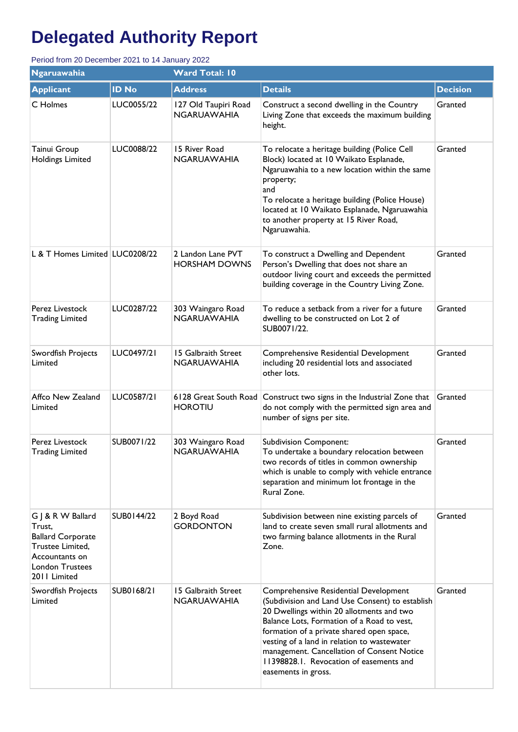| <b>Ngaruawahia</b>                                                                                                               |              | <b>Ward Total: 10</b>                     |                                                                                                                                                                                                                                                                                                                                                                                                 |                 |  |  |
|----------------------------------------------------------------------------------------------------------------------------------|--------------|-------------------------------------------|-------------------------------------------------------------------------------------------------------------------------------------------------------------------------------------------------------------------------------------------------------------------------------------------------------------------------------------------------------------------------------------------------|-----------------|--|--|
| <b>Applicant</b>                                                                                                                 | <b>ID No</b> | <b>Address</b>                            | <b>Details</b>                                                                                                                                                                                                                                                                                                                                                                                  | <b>Decision</b> |  |  |
| C Holmes                                                                                                                         | LUC0055/22   | 127 Old Taupiri Road<br>NGARUAWAHIA       | Construct a second dwelling in the Country<br>Living Zone that exceeds the maximum building<br>height.                                                                                                                                                                                                                                                                                          | Granted         |  |  |
| Tainui Group<br>Holdings Limited                                                                                                 | LUC0088/22   | 15 River Road<br>NGARUAWAHIA              | To relocate a heritage building (Police Cell<br>Block) located at 10 Waikato Esplanade,<br>Ngaruawahia to a new location within the same<br>property;<br>and<br>To relocate a heritage building (Police House)<br>located at 10 Waikato Esplanade, Ngaruawahia<br>to another property at 15 River Road,<br>Ngaruawahia.                                                                         | Granted         |  |  |
| L & T Homes Limited LUC0208/22                                                                                                   |              | 2 Landon Lane PVT<br><b>HORSHAM DOWNS</b> | To construct a Dwelling and Dependent<br>Person's Dwelling that does not share an<br>outdoor living court and exceeds the permitted<br>building coverage in the Country Living Zone.                                                                                                                                                                                                            | Granted         |  |  |
| Perez Livestock<br><b>Trading Limited</b>                                                                                        | LUC0287/22   | 303 Waingaro Road<br><b>NGARUAWAHIA</b>   | To reduce a setback from a river for a future<br>dwelling to be constructed on Lot 2 of<br>SUB0071/22.                                                                                                                                                                                                                                                                                          | Granted         |  |  |
| Swordfish Projects<br>Limited                                                                                                    | LUC0497/21   | 15 Galbraith Street<br><b>NGARUAWAHIA</b> | Comprehensive Residential Development<br>including 20 residential lots and associated<br>other lots.                                                                                                                                                                                                                                                                                            | Granted         |  |  |
| Affco New Zealand<br>Limited                                                                                                     | LUC0587/21   | 6128 Great South Road<br><b>HOROTIU</b>   | Construct two signs in the Industrial Zone that<br>do not comply with the permitted sign area and<br>number of signs per site.                                                                                                                                                                                                                                                                  | Granted         |  |  |
| Perez Livestock<br><b>Trading Limited</b>                                                                                        | SUB0071/22   | 303 Waingaro Road<br><b>NGARUAWAHIA</b>   | <b>Subdivision Component:</b><br>To undertake a boundary relocation between<br>two records of titles in common ownership<br>which is unable to comply with vehicle entrance<br>separation and minimum lot frontage in the<br>Rural Zone.                                                                                                                                                        | Granted         |  |  |
| G J & R W Ballard<br>Trust,<br><b>Ballard Corporate</b><br>Trustee Limited,<br>Accountants on<br>London Trustees<br>2011 Limited | SUB0144/22   | 2 Boyd Road<br><b>GORDONTON</b>           | Subdivision between nine existing parcels of<br>land to create seven small rural allotments and<br>two farming balance allotments in the Rural<br>Zone.                                                                                                                                                                                                                                         | Granted         |  |  |
| Swordfish Projects<br>Limited                                                                                                    | SUB0168/21   | 15 Galbraith Street<br><b>NGARUAWAHIA</b> | Comprehensive Residential Development<br>(Subdivision and Land Use Consent) to establish<br>20 Dwellings within 20 allotments and two<br>Balance Lots, Formation of a Road to vest,<br>formation of a private shared open space,<br>vesting of a land in relation to wastewater<br>management. Cancellation of Consent Notice<br>11398828.1. Revocation of easements and<br>easements in gross. | Granted         |  |  |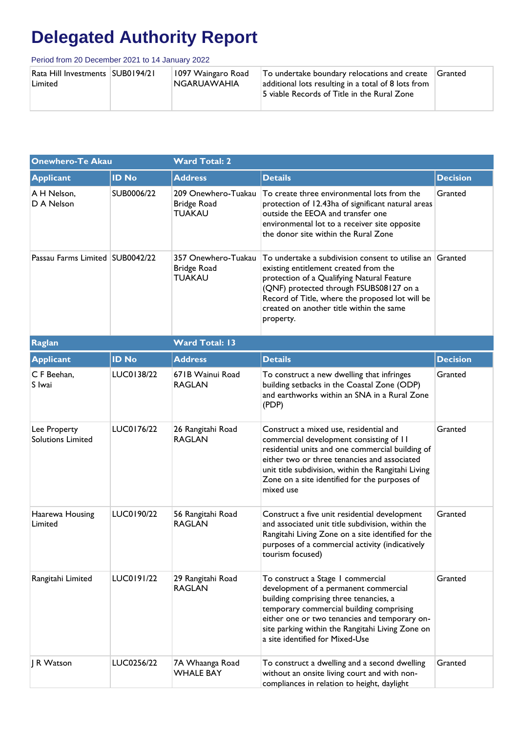| Rata Hill Investments   SUB0194/21<br>1097 Waingaro Road<br>NGARUAWAHIA<br>Limited | To undertake boundary relocations and create<br>additional lots resulting in a total of 8 lots from<br>5 viable Records of Title in the Rural Zone | Granted |
|------------------------------------------------------------------------------------|----------------------------------------------------------------------------------------------------------------------------------------------------|---------|
|------------------------------------------------------------------------------------|----------------------------------------------------------------------------------------------------------------------------------------------------|---------|

| <b>Onewhero-Te Akau</b>                  |              | <b>Ward Total: 2</b>                                       |                                                                                                                                                                                                                                                                                                            |                 |  |
|------------------------------------------|--------------|------------------------------------------------------------|------------------------------------------------------------------------------------------------------------------------------------------------------------------------------------------------------------------------------------------------------------------------------------------------------------|-----------------|--|
| <b>Applicant</b>                         | <b>ID No</b> | <b>Address</b>                                             | <b>Details</b>                                                                                                                                                                                                                                                                                             | <b>Decision</b> |  |
| A H Nelson,<br>D A Nelson                | SUB0006/22   | 209 Onewhero-Tuakau<br><b>Bridge Road</b><br><b>TUAKAU</b> | To create three environmental lots from the<br>protection of 12.43ha of significant natural areas<br>outside the EEOA and transfer one<br>environmental lot to a receiver site opposite<br>the donor site within the Rural Zone                                                                            | Granted         |  |
| Passau Farms Limited SUB0042/22          |              | 357 Onewhero-Tuakau<br><b>Bridge Road</b><br><b>TUAKAU</b> | To undertake a subdivision consent to utilise an Granted<br>existing entitlement created from the<br>protection of a Qualifying Natural Feature<br>(QNF) protected through FSUBS08127 on a<br>Record of Title, where the proposed lot will be<br>created on another title within the same<br>property.     |                 |  |
| Raglan                                   |              | <b>Ward Total: 13</b>                                      |                                                                                                                                                                                                                                                                                                            |                 |  |
| <b>Applicant</b>                         | <b>ID No</b> | <b>Address</b>                                             | <b>Details</b>                                                                                                                                                                                                                                                                                             | <b>Decision</b> |  |
| C F Beehan,<br>S Iwai                    | LUC0138/22   | 671B Wainui Road<br><b>RAGLAN</b>                          | To construct a new dwelling that infringes<br>building setbacks in the Coastal Zone (ODP)<br>and earthworks within an SNA in a Rural Zone<br>(PDP)                                                                                                                                                         | Granted         |  |
| Lee Property<br><b>Solutions Limited</b> | LUC0176/22   | 26 Rangitahi Road<br><b>RAGLAN</b>                         | Construct a mixed use, residential and<br>commercial development consisting of 11<br>residential units and one commercial building of<br>either two or three tenancies and associated<br>unit title subdivision, within the Rangitahi Living<br>Zone on a site identified for the purposes of<br>mixed use | Granted         |  |
| Haarewa Housing<br>Limited               | LUC0190/22   | 56 Rangitahi Road<br><b>RAGLAN</b>                         | Construct a five unit residential development<br>and associated unit title subdivision, within the<br>Rangitahi Living Zone on a site identified for the<br>purposes of a commercial activity (indicatively<br>tourism focused)                                                                            | Granted         |  |
| Rangitahi Limited                        | LUC0191/22   | 29 Rangitahi Road<br><b>RAGLAN</b>                         | To construct a Stage I commercial<br>development of a permanent commercial<br>building comprising three tenancies, a<br>temporary commercial building comprising<br>either one or two tenancies and temporary on-<br>site parking within the Rangitahi Living Zone on<br>a site identified for Mixed-Use   | Granted         |  |
| J R Watson                               | LUC0256/22   | 7A Whaanga Road<br><b>WHALE BAY</b>                        | To construct a dwelling and a second dwelling<br>without an onsite living court and with non-<br>compliances in relation to height, daylight                                                                                                                                                               | Granted         |  |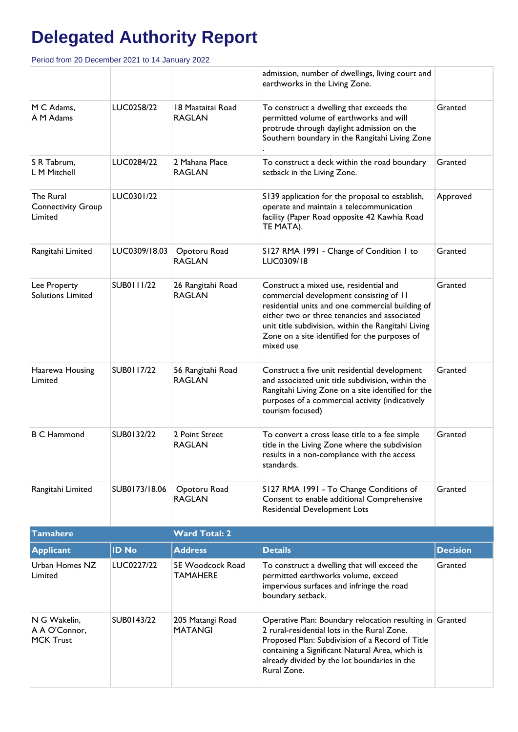| <b>MCK Trust</b>                                  |               |                                     | Proposed Plan: Subdivision of a Record of Title<br>containing a Significant Natural Area, which is<br>already divided by the lot boundaries in the<br>Rural Zone.                                                                                                                                          |                 |
|---------------------------------------------------|---------------|-------------------------------------|------------------------------------------------------------------------------------------------------------------------------------------------------------------------------------------------------------------------------------------------------------------------------------------------------------|-----------------|
| N G Wakelin,<br>A A O'Connor,                     | SUB0143/22    | 205 Matangi Road<br><b>MATANGI</b>  | impervious surfaces and infringe the road<br>boundary setback.<br>Operative Plan: Boundary relocation resulting in Granted<br>2 rural-residential lots in the Rural Zone.                                                                                                                                  |                 |
| Urban Homes NZ<br>Limited                         | LUC0227/22    | 5E Woodcock Road<br><b>TAMAHERE</b> | To construct a dwelling that will exceed the<br>permitted earthworks volume, exceed                                                                                                                                                                                                                        | Granted         |
| <b>Applicant</b>                                  | <b>ID No</b>  | <b>Address</b>                      | <b>Details</b>                                                                                                                                                                                                                                                                                             | <b>Decision</b> |
| <b>Tamahere</b>                                   |               | <b>Ward Total: 2</b>                |                                                                                                                                                                                                                                                                                                            |                 |
| Rangitahi Limited                                 | SUB0173/18.06 | Opotoru Road<br><b>RAGLAN</b>       | S127 RMA 1991 - To Change Conditions of<br>Consent to enable additional Comprehensive<br>Residential Development Lots                                                                                                                                                                                      | Granted         |
| <b>B C Hammond</b>                                | SUB0132/22    | 2 Point Street<br><b>RAGLAN</b>     | To convert a cross lease title to a fee simple<br>title in the Living Zone where the subdivision<br>results in a non-compliance with the access<br>standards.                                                                                                                                              | Granted         |
| Haarewa Housing<br>Limited                        | SUB0117/22    | 56 Rangitahi Road<br><b>RAGLAN</b>  | Construct a five unit residential development<br>and associated unit title subdivision, within the<br>Rangitahi Living Zone on a site identified for the<br>purposes of a commercial activity (indicatively<br>tourism focused)                                                                            | Granted         |
| Lee Property<br><b>Solutions Limited</b>          | SUB0111/22    | 26 Rangitahi Road<br><b>RAGLAN</b>  | Construct a mixed use, residential and<br>commercial development consisting of 11<br>residential units and one commercial building of<br>either two or three tenancies and associated<br>unit title subdivision, within the Rangitahi Living<br>Zone on a site identified for the purposes of<br>mixed use | Granted         |
| Rangitahi Limited                                 | LUC0309/18.03 | Opotoru Road<br><b>RAGLAN</b>       | S127 RMA 1991 - Change of Condition 1 to<br>LUC0309/18                                                                                                                                                                                                                                                     | Granted         |
| The Rural<br><b>Connectivity Group</b><br>Limited | LUC0301/22    |                                     | S139 application for the proposal to establish,<br>operate and maintain a telecommunication<br>facility (Paper Road opposite 42 Kawhia Road<br>TE MATA).                                                                                                                                                   | Approved        |
| S R Tabrum,<br>L M Mitchell                       | LUC0284/22    | 2 Mahana Place<br><b>RAGLAN</b>     | To construct a deck within the road boundary<br>setback in the Living Zone.                                                                                                                                                                                                                                | Granted         |
| M C Adams,<br>A M Adams                           | LUC0258/22    | 18 Maataitai Road<br><b>RAGLAN</b>  | To construct a dwelling that exceeds the<br>permitted volume of earthworks and will<br>protrude through daylight admission on the<br>Southern boundary in the Rangitahi Living Zone                                                                                                                        | Granted         |
|                                                   |               |                                     | admission, number of dwellings, living court and<br>earthworks in the Living Zone.                                                                                                                                                                                                                         |                 |